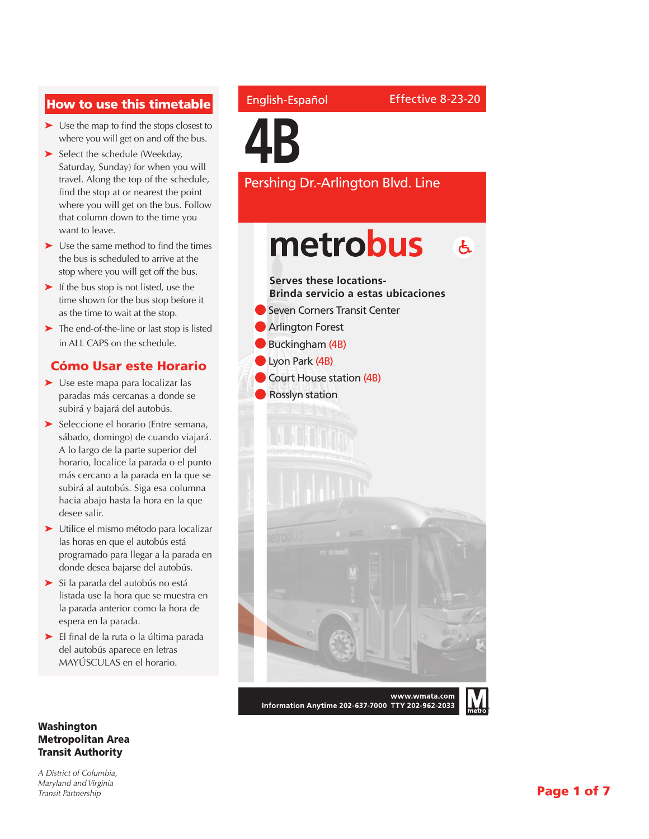#### How to use this timetable

- ➤ Use the map to find the stops closest to where you will get on and off the bus.
- ➤ Select the schedule (Weekday, Saturday, Sunday) for when you will travel. Along the top of the schedule, find the stop at or nearest the point where you will get on the bus. Follow that column down to the time you want to leave.
- ➤ Use the same method to find the times the bus is scheduled to arrive at the stop where you will get off the bus.
- ➤ If the bus stop is not listed, use the time shown for the bus stop before it as the time to wait at the stop.
- ➤ The end-of-the-line or last stop is listed in ALL CAPS on the schedule.

#### Cómo Usar este Horario

- ➤ Use este mapa para localizar las paradas más cercanas a donde se subirá y bajará del autobús.
- ➤ Seleccione el horario (Entre semana, sábado, domingo) de cuando viajará. A lo largo de la parte superior del horario, localice la parada o el punto más cercano a la parada en la que se subirá al autobús. Siga esa columna hacia abajo hasta la hora en la que desee salir.
- ➤ Utilice el mismo método para localizar las horas en que el autobús está programado para llegar a la parada en donde desea bajarse del autobús.
- ➤ Si la parada del autobús no está listada use la hora que se muestra en la parada anterior como la hora de espera en la parada.
- ➤ El final de la ruta o la última parada del autobús aparece en letras MAYÚSCULAS en el horario.

#### Washington Metropolitan Area Transit Authority

*A District of Columbia, Maryland and Virginia Transit Partnership*

#### English-Español

Effective 8-23-20

**4B**

Pershing Dr.-Arlington Blvd. Line

## metrobus  $\mathbf{A}$



Information Anytime 202-637-7000 TTY 202-962-2033

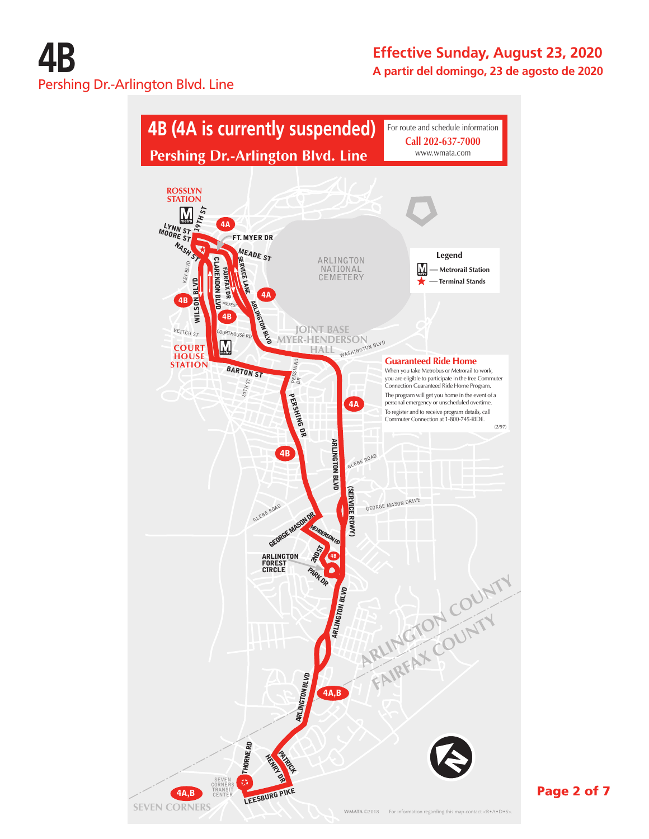

Page 2 of 7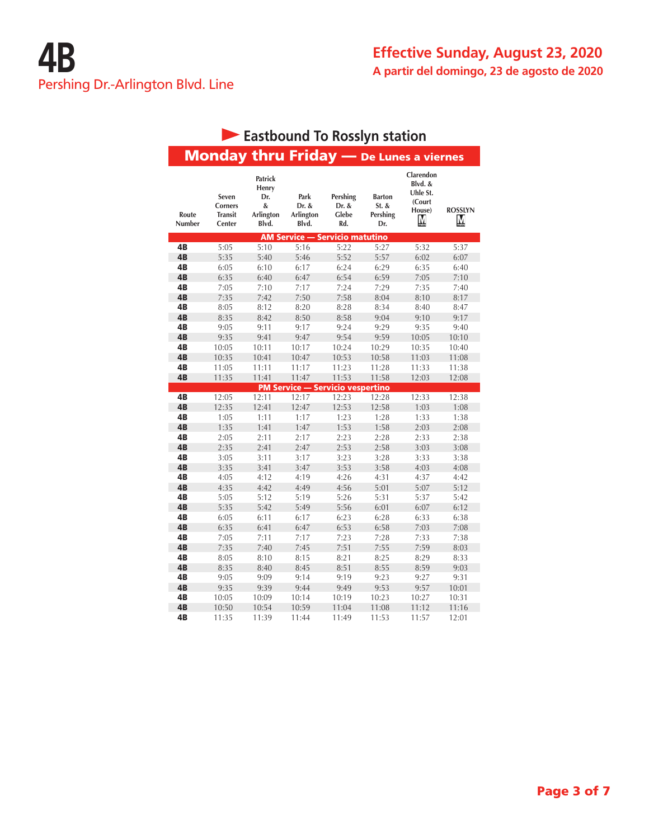|                        |                                                     | Eastbound To Rosslyn station                       |                                            |                                   |                                             |                                                           |                     |
|------------------------|-----------------------------------------------------|----------------------------------------------------|--------------------------------------------|-----------------------------------|---------------------------------------------|-----------------------------------------------------------|---------------------|
|                        |                                                     | <b>Monday thru Friday</b> - De Lunes a viernes     |                                            |                                   |                                             |                                                           |                     |
| Route<br><b>Number</b> | Seven<br><b>Corners</b><br><b>Transit</b><br>Center | Patrick<br>Henry<br>Dr.<br>&<br>Arlington<br>Blvd. | Park<br>Dr. &<br><b>Arlington</b><br>Blvd. | Pershing<br>Dr. &<br>Glebe<br>Rd. | <b>Barton</b><br>$St.$ &<br>Pershing<br>Dr. | Clarendon<br>Blvd. &<br>Uhle St.<br>(Court<br>House)<br>М | <b>ROSSLYN</b><br>М |
|                        |                                                     |                                                    | <b>AM Service — Servicio matutino</b>      |                                   |                                             |                                                           |                     |
| 4B                     | 5:05                                                | 5:10                                               | 5:16                                       | 5:22                              | 5:27                                        | 5:32                                                      | 5:37                |
| 4B                     | 5:35                                                | 5:40                                               | 5:46                                       | 5:52                              | 5:57                                        | 6:02                                                      | 6:07                |
| 4B                     | 6:05                                                | 6:10                                               | 6:17                                       | 6:24                              | 6:29                                        | 6:35                                                      | 6:40                |
| 4B                     | 6:35                                                | 6:40                                               | 6:47                                       | 6:54                              | 6:59                                        | 7:05                                                      | 7:10                |
| 4B                     | 7:05                                                | 7:10                                               | 7:17                                       | 7:24                              | 7:29                                        | 7:35                                                      | 7:40                |
| 4B                     | 7:35                                                | 7:42                                               | 7:50                                       | 7:58                              | 8:04                                        | 8:10                                                      | 8:17                |
| 4B                     | 8:05                                                | 8:12                                               | 8:20                                       | 8:28                              | 8:34                                        | 8:40                                                      | 8:47                |
| 4B                     | 8:35                                                | 8:42                                               | 8:50                                       | 8:58                              | 9:04                                        | 9:10                                                      | 9:17                |
| 4B                     | 9:05                                                | 9:11                                               | 9:17                                       | 9:24                              | 9:29                                        | 9:35                                                      | 9:40                |
| 4B                     | 9:35                                                | 9:41                                               | 9:47                                       | 9:54                              | 9:59                                        | 10:05                                                     | 10:10               |
| 4B                     | 10:05                                               | 10:11                                              | 10:17                                      | 10:24                             | 10:29                                       | 10:35                                                     | 10:40               |
| 4B                     | 10:35                                               | 10:41                                              | 10:47                                      | 10:53                             | 10:58                                       | 11:03                                                     | 11:08               |
| 4B                     | 11:05                                               | 11:11                                              | 11:17                                      | 11:23                             | 11:28                                       | 11:33                                                     | 11:38               |
| 4B                     | 11:35                                               | 11:41                                              | 11:47                                      | 11:53                             | 11:58                                       | 12:03                                                     | 12:08               |
|                        |                                                     |                                                    | <b>PM Service — Servicio vespertino</b>    |                                   |                                             |                                                           |                     |
| 4B                     | 12:05                                               | 12:11                                              | 12:17                                      | 12:23                             | 12:28                                       | 12:33                                                     | 12:38               |
| 4B                     | 12:35                                               | 12:41                                              | 12:47                                      | 12:53                             | 12:58                                       | 1:03                                                      | 1:08                |
| 4B                     | 1:05                                                | 1:11                                               | 1:17                                       | 1:23                              | 1:28                                        | 1:33                                                      | 1:38                |
| 4B                     | 1:35                                                | 1:41                                               | 1:47                                       | 1:53                              | 1:58                                        | 2:03                                                      | 2:08                |
| 4B                     | 2:05                                                | 2:11                                               | 2:17                                       | 2:23                              | 2:28                                        | 2:33                                                      | 2:38                |
| 4B                     | 2:35                                                | 2:41                                               | 2:47                                       | 2:53                              | 2:58                                        | 3:03                                                      | 3:08                |
| 4B                     | 3:05                                                | 3:11                                               | 3:17                                       | 3:23                              | 3:28                                        | 3:33                                                      | 3:38                |
| 4B                     | 3:35                                                | 3:41                                               | 3:47                                       | 3:53                              | 3:58                                        | 4:03                                                      | 4:08                |
| 4B                     | 4:05                                                | 4:12                                               | 4:19                                       | 4:26                              | 4:31                                        | 4:37                                                      | 4:42                |
| 4B                     | 4:35                                                | 4:42                                               | 4:49                                       | 4:56                              | 5:01                                        | 5:07                                                      | 5:12                |
| 4B                     | 5:05                                                | 5:12                                               | 5:19                                       | 5:26                              | 5:31                                        | 5:37                                                      | 5:42                |
| 4B                     | 5:35                                                | 5:42                                               | 5:49                                       | 5:56                              | 6:01                                        | 6:07                                                      | 6:12                |
| 4B                     | 6:05                                                | 6:11                                               | 6:17                                       | 6:23                              | 6:28                                        | 6:33                                                      | 6:38                |
| 4B                     | 6:35                                                | 6:41                                               | 6:47                                       | 6:53                              | 6:58                                        | 7:03                                                      | 7:08                |
| 4B                     | 7:05                                                | 7:11                                               | 7:17                                       | 7:23                              | 7:28                                        | 7:33                                                      | 7:38                |
| 4B                     | 7:35                                                | 7:40                                               | 7:45                                       | 7:51                              | 7:55                                        | 7:59                                                      | 8:03                |
| 4B                     | 8:05                                                | 8:10                                               | 8:15                                       | 8:21                              | 8:25                                        | 8:29                                                      | 8:33                |
| 4B                     | 8:35                                                | 8:40                                               | 8:45                                       | 8:51                              | 8:55                                        | 8:59                                                      | 9:03                |
| 4B                     | 9:05                                                | 9:09                                               | 9:14                                       | 9:19                              | 9:23                                        | 9:27                                                      | 9:31                |
| 4B                     | 9:35                                                | 9:39                                               | 9:44                                       | 9:49                              | 9:53                                        | 9:57                                                      | 10:01               |
| 4B                     | 10:05                                               | 10:09                                              | 10:14                                      | 10:19                             | 10:23                                       | 10:27                                                     | 10:31               |
| 4B                     | 10:50                                               | 10:54                                              | 10:59                                      | 11:04                             | 11:08                                       | 11:12                                                     | 11:16               |
| 4B                     | 11:35                                               | 11:39                                              | 11:44                                      | 11:49                             | 11:53                                       | 11:57                                                     | 12:01               |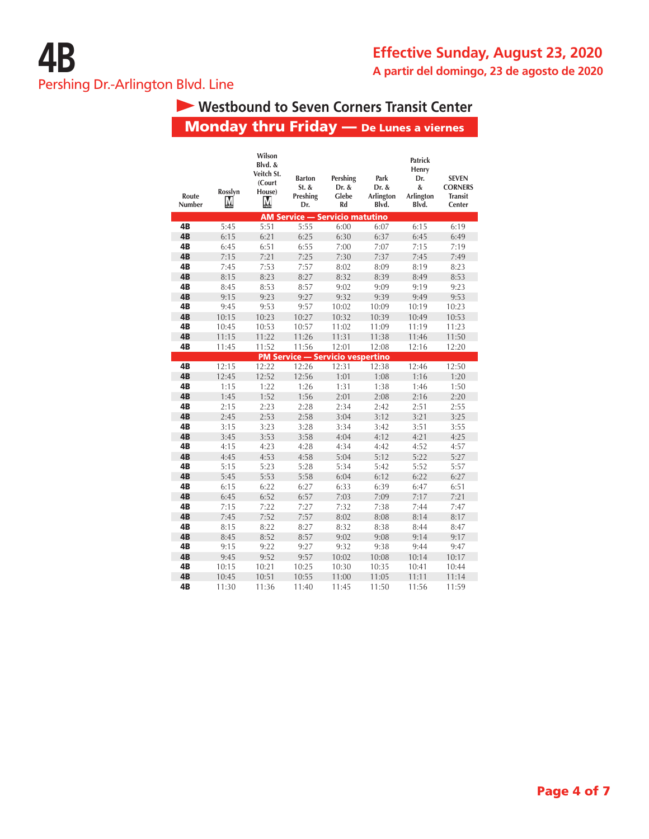# **Westbound to Seven Corners Transit Center**

# Monday thru Friday — De Lunes a viernes

| Route<br>Number | Rosslyn<br>Μ | Wilson<br>Blvd. &<br>Veitch St.<br>(Court<br>House)<br>М | <b>Barton</b><br>$St.$ &<br>Preshing<br>Dr. | Pershing<br>Dr. &<br>Glebe<br>Rd                 | Park<br>Dr. &<br>Arlington<br>Blvd. | <b>Patrick</b><br>Henry<br>Dr.<br>&<br>Arlington<br>Blvd. | <b>SEVEN</b><br><b>CORNERS</b><br><b>Transit</b><br>Center |
|-----------------|--------------|----------------------------------------------------------|---------------------------------------------|--------------------------------------------------|-------------------------------------|-----------------------------------------------------------|------------------------------------------------------------|
|                 |              |                                                          |                                             | <b>AM Service - Servicio matutino</b>            |                                     |                                                           |                                                            |
| 4B              | 5:45         | 5:51                                                     | 5:55                                        | 6:00                                             | 6:07                                | 6:15                                                      | 6:19                                                       |
| 4 <sub>B</sub>  | 6:15         | 6:21                                                     | 6:25                                        | 6:30                                             | 6:37                                | 6:45                                                      | 6:49                                                       |
| 4B              | 6:45         | 6:51                                                     | 6:55                                        | 7:00                                             | 7:07                                | 7:15                                                      | 7:19                                                       |
| 4B              | 7:15         | 7:21                                                     | 7:25                                        | 7:30                                             | 7:37                                | 7:45                                                      | 7:49                                                       |
| 4B              | 7:45         | 7:53                                                     | 7:57                                        | 8:02                                             | 8:09                                | 8:19                                                      | 8:23                                                       |
| 4B              | 8:15         | 8:23                                                     | 8:27                                        | 8:32                                             | 8:39                                | 8:49                                                      | 8:53                                                       |
| 4B              | 8:45         | 8:53                                                     | 8:57                                        | 9:02                                             | 9:09                                | 9:19                                                      | 9:23                                                       |
| 4B              | 9:15         | 9:23                                                     | 9:27                                        | 9:32                                             | 9:39                                | 9:49                                                      | 9:53                                                       |
| 4B              | 9:45         | 9:53                                                     | 9:57                                        | 10:02                                            | 10:09                               | 10:19                                                     | 10:23                                                      |
| 4B              | 10:15        | 10:23                                                    | 10:27                                       | 10:32                                            | 10:39                               | 10:49                                                     | 10:53                                                      |
| 4B              | 10:45        | 10:53                                                    | 10:57                                       | 11:02                                            | 11:09                               | 11:19                                                     | 11:23                                                      |
| 4B              | 11:15        | 11:22                                                    | 11:26                                       | 11:31                                            | 11:38                               | 11:46                                                     | 11:50                                                      |
| 4B              | 11:45        | 11:52                                                    | 11:56                                       | 12:01                                            | 12:08                               | 12:16                                                     | 12:20                                                      |
| 4B              | 12:15        | 12:22                                                    | 12:26                                       | <b>PM Service - Servicio vespertino</b><br>12:31 | 12:38                               | 12:46                                                     | 12:50                                                      |
| 4B              |              | 12:52                                                    | 12:56                                       |                                                  |                                     |                                                           |                                                            |
| 4B              | 12:45        |                                                          |                                             | 1:01                                             | 1:08                                | 1:16                                                      | 1:20                                                       |
| 4B              | 1:15<br>1:45 | 1:22<br>1:52                                             | 1:26<br>1:56                                | 1:31<br>2:01                                     | 1:38<br>2:08                        | 1:46<br>2:16                                              | 1:50                                                       |
| 4B              | 2:15         | 2:23                                                     | 2:28                                        | 2:34                                             | 2:42                                | 2:51                                                      | 2:20<br>2:55                                               |
| 4B              | 2:45         | 2:53                                                     | 2:58                                        | 3:04                                             | 3:12                                | 3:21                                                      | 3:25                                                       |
| 4B              | 3:15         | 3:23                                                     | 3:28                                        | 3:34                                             | 3:42                                | 3:51                                                      | 3:55                                                       |
| 4 <sub>B</sub>  | 3:45         | 3:53                                                     | 3:58                                        | 4:04                                             | 4:12                                | 4:21                                                      | 4:25                                                       |
| 4B              | 4:15         | 4:23                                                     | 4:28                                        | 4:34                                             | 4:42                                | 4:52                                                      | 4:57                                                       |
| 4B              | 4:45         | 4:53                                                     | 4:58                                        | 5:04                                             | 5:12                                | 5:22                                                      | 5:27                                                       |
| 4B              | 5:15         | 5:23                                                     | 5:28                                        | 5:34                                             | 5:42                                | 5:52                                                      | 5:57                                                       |
| 4 <sub>B</sub>  | 5:45         | 5:53                                                     | 5:58                                        | 6:04                                             | 6:12                                | 6:22                                                      | 6:27                                                       |
| 4B              | 6:15         | 6:22                                                     | 6:27                                        | 6:33                                             | 6:39                                | 6:47                                                      | 6:51                                                       |
| 4 <sub>B</sub>  | 6:45         | 6:52                                                     | 6:57                                        | 7:03                                             | 7:09                                | 7:17                                                      | 7:21                                                       |
| 4B              | 7:15         | 7:22                                                     | 7:27                                        | 7:32                                             | 7:38                                | 7:44                                                      | 7:47                                                       |
| 4B              | 7:45         | 7:52                                                     | 7:57                                        | 8:02                                             | 8:08                                | 8:14                                                      | 8:17                                                       |
| 4B              | 8:15         | 8:22                                                     | 8:27                                        | 8:32                                             | 8:38                                | 8:44                                                      | 8:47                                                       |
| 4B              | 8:45         | 8:52                                                     | 8:57                                        | 9:02                                             | 9:08                                | 9:14                                                      | 9:17                                                       |
| 4B              | 9:15         | 9:22                                                     | 9:27                                        | 9:32                                             | 9:38                                | 9:44                                                      | 9:47                                                       |
| 4B              | 9:45         | 9:52                                                     | 9:57                                        | 10:02                                            | 10:08                               | 10:14                                                     | 10:17                                                      |
| 4B              | 10:15        | 10:21                                                    | 10:25                                       | 10:30                                            | 10:35                               | 10:41                                                     | 10:44                                                      |
| 4B              | 10:45        | 10:51                                                    | 10:55                                       | 11:00                                            | 11:05                               | 11:11                                                     | 11:14                                                      |
| 4B              | 11:30        | 11:36                                                    | 11:40                                       | 11:45                                            | 11:50                               | 11:56                                                     | 11:59                                                      |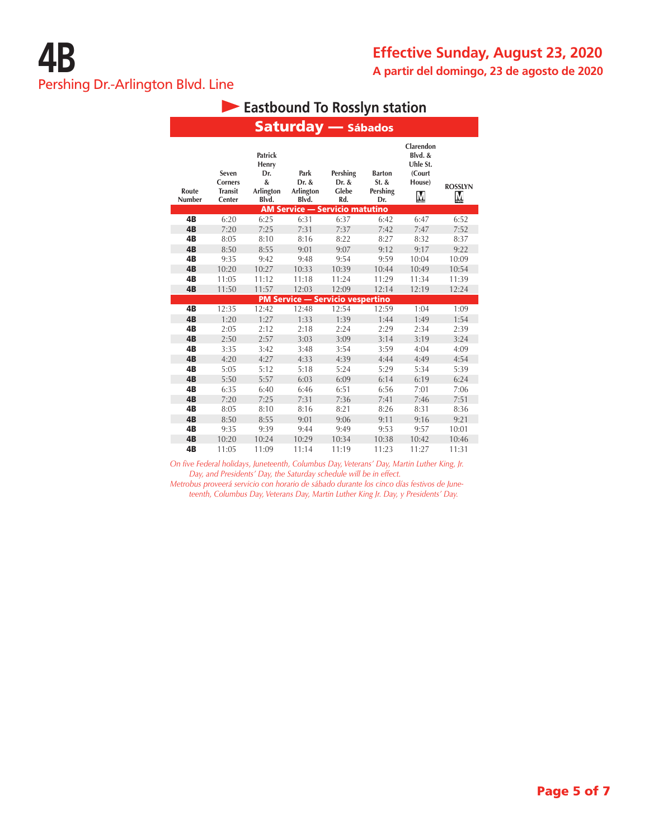| <b>Eastbound To Rosslyn station</b> |                                                     |                                                    |                                               |                                   |                                             |                                                           |                     |  |  |  |  |
|-------------------------------------|-----------------------------------------------------|----------------------------------------------------|-----------------------------------------------|-----------------------------------|---------------------------------------------|-----------------------------------------------------------|---------------------|--|--|--|--|
|                                     | <b>Saturday</b> - Sábados                           |                                                    |                                               |                                   |                                             |                                                           |                     |  |  |  |  |
| Route<br>Number                     | Seven<br><b>Corners</b><br><b>Transit</b><br>Center | Patrick<br>Henry<br>Dr.<br>&<br>Arlington<br>Blvd. | Park<br>Dr. &<br>Arlington<br>Blvd.           | Pershing<br>Dr. &<br>Glebe<br>Rd. | <b>Barton</b><br>$St.$ &<br>Pershing<br>Dr. | Clarendon<br>Blvd. &<br>Uhle St.<br>(Court<br>House)<br>M | <b>ROSSLYN</b><br>M |  |  |  |  |
| 4B                                  | 6:20                                                | 6:25                                               | <b>AM Service - Servicio matutino</b><br>6:31 | 6:37                              | 6:42                                        |                                                           | 6:52                |  |  |  |  |
| 4B                                  | 7:20                                                | 7:25                                               | 7:31                                          | 7:37                              |                                             | 6:47<br>7:47                                              | 7:52                |  |  |  |  |
| 4B                                  | 8:05                                                | 8:10                                               | 8:16                                          | 8:22                              | 7:42<br>8:27                                | 8:32                                                      | 8:37                |  |  |  |  |
| 4B                                  | 8:50                                                | 8:55                                               | 9:01                                          | 9:07                              | 9:12                                        | 9:17                                                      | 9:22                |  |  |  |  |
| 4B                                  | 9:35                                                | 9:42                                               | 9:48                                          | 9:54                              | 9:59                                        | 10:04                                                     | 10:09               |  |  |  |  |
| 4B                                  | 10:20                                               | 10:27                                              | 10:33                                         | 10:39                             | 10:44                                       | 10:49                                                     | 10:54               |  |  |  |  |
| 4B                                  | 11:05                                               | 11:12                                              | 11:18                                         | 11:24                             | 11:29                                       | 11:34                                                     | 11:39               |  |  |  |  |
| 4B                                  | 11:50                                               | 11:57                                              | 12:03                                         | 12:09                             | 12:14                                       | 12:19                                                     | 12:24               |  |  |  |  |
|                                     |                                                     |                                                    | <b>PM Service - Servicio vespertino</b>       |                                   |                                             |                                                           |                     |  |  |  |  |
| 4B                                  | 12:35                                               | 12:42                                              | 12:48                                         | 12:54                             | 12:59                                       | 1:04                                                      | 1:09                |  |  |  |  |
| 4B                                  | 1:20                                                | 1:27                                               | 1:33                                          | 1:39                              | 1:44                                        | 1:49                                                      | 1:54                |  |  |  |  |
| 4B                                  | 2:05                                                | 2:12                                               | 2:18                                          | 2:24                              | 2:29                                        | 2:34                                                      | 2:39                |  |  |  |  |
| 4B                                  | 2:50                                                | 2:57                                               | 3:03                                          | 3:09                              | 3:14                                        | 3:19                                                      | 3:24                |  |  |  |  |
| 4B                                  | 3:35                                                | 3:42                                               | 3:48                                          | 3:54                              | 3:59                                        | 4:04                                                      | 4:09                |  |  |  |  |
| 4B                                  | 4:20                                                | 4:27                                               | 4:33                                          | 4:39                              | 4:44                                        | 4:49                                                      | 4:54                |  |  |  |  |
| 4B                                  | 5:05                                                | 5:12                                               | 5:18                                          | 5:24                              | 5:29                                        | 5:34                                                      | 5:39                |  |  |  |  |
| 4B                                  | 5:50                                                | 5:57                                               | 6:03                                          | 6:09                              | 6:14                                        | 6:19                                                      | 6:24                |  |  |  |  |
| 4B                                  | 6:35                                                | 6:40                                               | 6:46                                          | 6:51                              | 6:56                                        | 7:01                                                      | 7:06                |  |  |  |  |
| 4B                                  | 7:20                                                | 7:25                                               | 7:31                                          | 7:36                              | 7:41                                        | 7:46                                                      | 7:51                |  |  |  |  |
| 4B                                  | 8:05                                                | 8:10                                               | 8:16                                          | 8:21                              | 8:26                                        | 8:31                                                      | 8:36                |  |  |  |  |
| 4B                                  | 8:50                                                | 8:55                                               | 9:01                                          | 9:06                              | 9:11                                        | 9:16                                                      | 9:21                |  |  |  |  |
| 4B                                  | 9:35                                                | 9:39                                               | 9:44                                          | 9:49                              | 9:53                                        | 9:57                                                      | 10:01               |  |  |  |  |
| 4B                                  | 10:20                                               | 10:24                                              | 10:29                                         | 10:34                             | 10:38                                       | 10:42                                                     | 10:46               |  |  |  |  |
| 4B                                  | 11:05                                               | 11:09                                              | 11:14                                         | 11:19                             | 11:23                                       | 11:27                                                     | 11:31               |  |  |  |  |

*On five Federal holidays, Juneteenth, Columbus Day, Veterans' Day, Martin Luther King, Jr. Day, and Presidents' Day, the Saturday schedule will be in effect.*

*Metrobus proveerá servicio con horario de sábado durante los cinco días festivos de Juneteenth, Columbus Day, Veterans Day, Martin Luther King Jr. Day, y Presidents' Day.*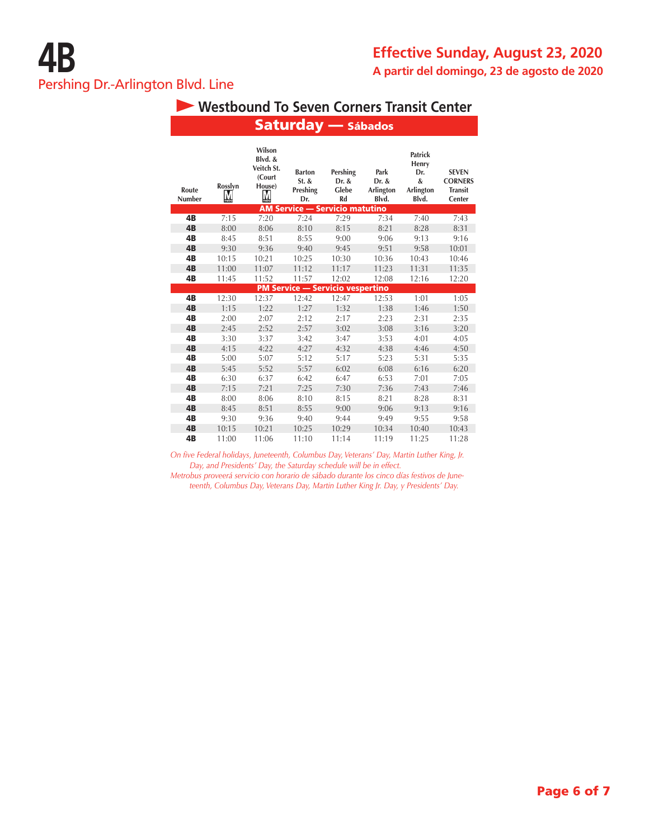# **Westbound To Seven Corners Transit Center**

 $S = 4$ 

|                 |              |                                                          | Jatul ua y                                |                                                                           | sapauos                             |                                                           |                                                            |
|-----------------|--------------|----------------------------------------------------------|-------------------------------------------|---------------------------------------------------------------------------|-------------------------------------|-----------------------------------------------------------|------------------------------------------------------------|
| Route<br>Number | Rosslyn<br>M | Wilson<br>Blvd. &<br>Veitch St.<br>(Court<br>House)<br>M | <b>Barton</b><br>St. &<br>Preshing<br>Dr. | Pershing<br>Dr. &<br>Glebe<br>Rd<br><b>AM Service - Servicio matutino</b> | Park<br>Dr. &<br>Arlington<br>Blvd. | <b>Patrick</b><br>Henry<br>Dr.<br>&<br>Arlington<br>Blvd. | <b>SEVEN</b><br><b>CORNERS</b><br><b>Transit</b><br>Center |
| 4B              | 7:15         | 7:20                                                     | 7:24                                      | 7:29                                                                      | 7:34                                | 7:40                                                      | 7:43                                                       |
| 4B              | 8:00         | 8:06                                                     | 8:10                                      | 8:15                                                                      | 8:21                                | 8:28                                                      | 8:31                                                       |
| 4B              | 8:45         | 8:51                                                     | 8:55                                      | 9:00                                                                      | 9:06                                | 9:13                                                      | 9:16                                                       |
| 4B              | 9:30         | 9:36                                                     | 9:40                                      | 9:45                                                                      | 9:51                                | 9:58                                                      | 10:01                                                      |
| 4B              | 10:15        | 10:21                                                    | 10:25                                     | 10:30                                                                     | 10:36                               | 10:43                                                     | 10:46                                                      |
| 4B              | 11:00        | 11:07                                                    | 11:12                                     | 11:17                                                                     | 11:23                               | 11:31                                                     | 11:35                                                      |
| 4B              | 11:45        | 11:52                                                    | 11:57                                     | 12:02                                                                     | 12:08                               | 12:16                                                     | 12:20                                                      |
|                 |              |                                                          |                                           | <b>PM Service - Servicio vespertino</b>                                   |                                     |                                                           |                                                            |
| 4B              | 12:30        | 12:37                                                    | 12:42                                     | 12:47                                                                     | 12:53                               | 1:01                                                      | 1:05                                                       |
| 4B              | 1:15         | 1:22                                                     | 1:27                                      | 1:32                                                                      | 1:38                                | 1:46                                                      | 1:50                                                       |
| 4B              | 2:00         | 2:07                                                     | 2:12                                      | 2:17                                                                      | 2:23                                | 2:31                                                      | 2:35                                                       |
| 4B              | 2:45         | 2:52                                                     | 2:57                                      | 3:02                                                                      | 3:08                                | 3:16                                                      | 3:20                                                       |
| 4B              | 3:30         | 3:37                                                     | 3:42                                      | 3:47                                                                      | 3:53                                | 4:01                                                      | 4:05                                                       |
| 4B              | 4:15         | 4:22                                                     | 4:27                                      | 4:32                                                                      | 4:38                                | 4:46                                                      | 4:50                                                       |
| 4B              | 5:00         | 5:07                                                     | 5:12                                      | 5:17                                                                      | 5:23                                | 5:31                                                      | 5:35                                                       |
| 4B              | 5:45         | 5:52                                                     | 5:57                                      | 6:02                                                                      | 6:08                                | 6:16                                                      | 6:20                                                       |
| 4B              | 6:30         | 6:37                                                     | 6:42                                      | 6:47                                                                      | 6:53                                | 7:01                                                      | 7:05                                                       |
| 4B              | 7:15         | 7:21                                                     | 7:25                                      | 7:30                                                                      | 7:36                                | 7:43                                                      | 7:46                                                       |
| 4B              | 8:00         | 8:06                                                     | 8:10                                      | 8:15                                                                      | 8:21                                | 8:28                                                      | 8:31                                                       |
| 4B              | 8:45         | 8:51                                                     | 8:55                                      | 9:00                                                                      | 9:06                                | 9:13                                                      | 9:16                                                       |
| 4B              | 9:30         | 9:36                                                     | 9:40                                      | 9:44                                                                      | 9:49                                | 9:55                                                      | 9:58                                                       |
| 4B              | 10:15        | 10:21                                                    | 10:25                                     | 10:29                                                                     | 10:34                               | 10:40                                                     | 10:43                                                      |
| 4B              | 11:00        | 11:06                                                    | 11:10                                     | 11:14                                                                     | 11:19                               | 11:25                                                     | 11:28                                                      |

*On five Federal holidays, Juneteenth, Columbus Day, Veterans' Day, Martin Luther King, Jr. Day, and Presidents' Day, the Saturday schedule will be in effect.*

*Metrobus proveerá servicio con horario de sábado durante los cinco días festivos de Juneteenth, Columbus Day, Veterans Day, Martin Luther King Jr. Day, y Presidents' Day.*